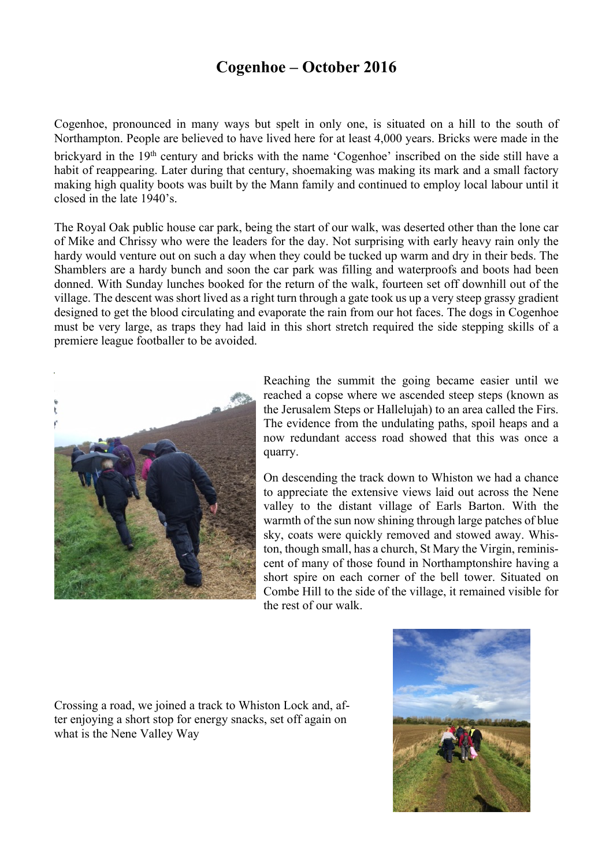## **Cogenhoe – October 2016**

Cogenhoe, pronounced in many ways but spelt in only one, is situated on a hill to the south of Northampton. People are believed to have lived here for at least 4,000 years. Bricks were made in the brickyard in the 19th century and bricks with the name 'Cogenhoe' inscribed on the side still have a habit of reappearing. Later during that century, shoemaking was making its mark and a small factory making high quality boots was built by the Mann family and continued to employ local labour until it closed in the late 1940's.

The Royal Oak public house car park, being the start of our walk, was deserted other than the lone car of Mike and Chrissy who were the leaders for the day. Not surprising with early heavy rain only the hardy would venture out on such a day when they could be tucked up warm and dry in their beds. The Shamblers are a hardy bunch and soon the car park was filling and waterproofs and boots had been donned. With Sunday lunches booked for the return of the walk, fourteen set off downhill out of the village. The descent was short lived as a right turn through a gate took us up a very steep grassy gradient designed to get the blood circulating and evaporate the rain from our hot faces. The dogs in Cogenhoe must be very large, as traps they had laid in this short stretch required the side stepping skills of a premiere league footballer to be avoided.



Reaching the summit the going became easier until we reached a copse where we ascended steep steps (known as the Jerusalem Steps or Hallelujah) to an area called the Firs. The evidence from the undulating paths, spoil heaps and a now redundant access road showed that this was once a quarry.

On descending the track down to Whiston we had a chance to appreciate the extensive views laid out across the Nene valley to the distant village of Earls Barton. With the warmth of the sun now shining through large patches of blue sky, coats were quickly removed and stowed away. Whiston, though small, has a church, St Mary the Virgin, reminiscent of many of those found in Northamptonshire having a short spire on each corner of the bell tower. Situated on Combe Hill to the side of the village, it remained visible for the rest of our walk.

Crossing a road, we joined a track to Whiston Lock and, after enjoying a short stop for energy snacks, set off again on what is the Nene Valley Way